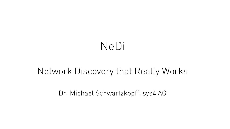# NeDi

# Network Discovery that Really Works

Dr. Michael Schwartzkopff, sys4 AG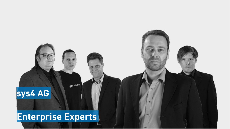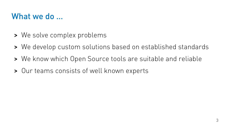#### What we do ...

- > We solve complex problems
- > We develop custom solutions based on established standards
- > We know which Open Source tools are suitable and reliable
- > Our teams consists of well known experts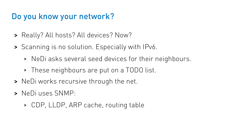## Do you know your network?

- > Really? All hosts? All devices? Now?
- > Scanning is no solution. Especially with IPv6.
	- > NeDi asks several seed devices for their neighbours.
	- > These neighbours are put on a TODO list.
- > NeDi works recursive through the net.
- > NeDi uses SNMP:
	- > CDP, LLDP, ARP cache, routing table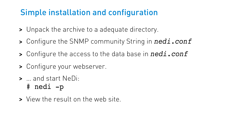# Simple installation and configuration

- > Unpack the archive to a adequate directory.
- > Configure the SNMP community String in *nedi.conf*
- > Configure the access to the data base in *nedi.conf*
- > Configure your webserver.
- > … and start NeDi:
	- # nedi p
- > View the result on the web site.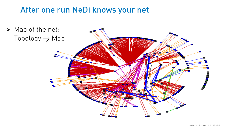### After one run NeDi knows your net

> Map of the net:  $Topology \rightarrow Map$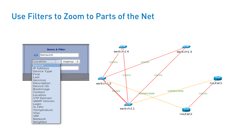#### Use Filters to Zoom to Parts of the Net

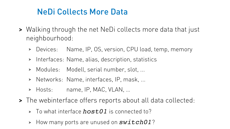## NeDi Collects More Data

- > Walking through the net NeDi collects more data that just neighbourhood:
	- > Devices: Name, IP, OS, version, CPU load, temp, memory
	- > Interfaces: Name, alias, description, statistics
	- > Modules: Modell, serial number, slot, ...
	- > Networks: Name, interfaces, IP, mask, ...
	- > Hosts: name, IP, MAC, VLAN, …
- > The webinterface offers reports about all data collected:
	- <sup>&</sup>gt; To what interface *host01* is connected to?
	- <sup>&</sup>gt; How many ports are unused on *switch01*?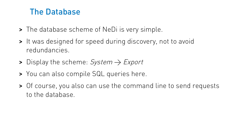#### The Database

- > The database scheme of NeDi is very simple.
- > It was designed for speed during discovery, not to avoid redundancies.
- > Display the scheme:  $System \rightarrow Expert$
- > You can also compile SQL queries here.
- > Of course, you also can use the command line to send requests to the database.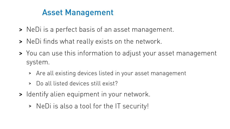# Asset Management

- > NeDi is a perfect basis of an asset management.
- > NeDi finds what really exists on the network.
- > You can use this information to adjust your asset management system.
	- > Are all existing devices listed in your asset management
	- > Do all listed devices still exist?
- > Identify alien equipment in your network.
	- > NeDi is also a tool for the IT security!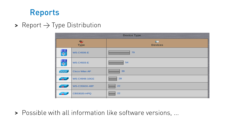#### Reports

> Report  $\rightarrow$  Type Distribution

| <b>Device Type</b> |                   |                              |  |
|--------------------|-------------------|------------------------------|--|
| ❤<br><b>Type</b>   |                   | <b>BUT</b><br><b>Devices</b> |  |
| 闌                  | <b>WS-C4506-E</b> | 79                           |  |
| 闌                  | <b>WS-C4503-E</b> | 54                           |  |
| <b>COOKING</b>     | Cisco Wlan AP     | 39                           |  |
| $\rightarrow$      | WS-C4948-10GE     | 28                           |  |
| <b>SEP</b>         | WS-C3560X-48P     | 22                           |  |
| <b>RE</b>          | CBS3020-HPQ       | 22                           |  |

> Possible with all information like software versions, ...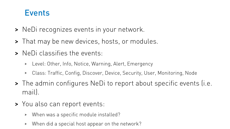#### **Events**

- > NeDi recognizes events in your network.
- > That may be new devices, hosts, or modules.
- > NeDi classifies the events:
	- > Level: Other, Info, Notice, Warning, Alert, Emergency
	- > Class: Traffic, Config, Discover, Device, Security, User, Monitoring, Node
- > The admin configures NeDi to report about specific events (i.e. mail).
- > You also can report events:
	- > When was a specific module installed?
	- > When did a special host appear on the network?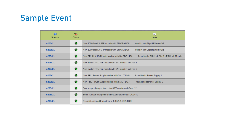## Sample Event

| $\bullet$<br>Source | ❤<br><b>Class</b> | q<br>Info                                                                                     |
|---------------------|-------------------|-----------------------------------------------------------------------------------------------|
| m205s21             | w                 | New 1000BaseLX SFP module with SN:OPA1438.<br>found in slot GigabitEthernet1/2                |
| m205s21             | w                 | New 1000BaseLX SFP module with SN:OPA1438<br>found in slot GigabitEthernet1/1                 |
| m205s21             | L.                | New FRULink 1G Module module with SN:FDO1434<br>found in slot FRULink Slot 1 - FRULink Module |
| m205s21             |                   | New Switch FRU Fan module with SN: found in slot Fan 1                                        |
| m205s21             |                   | New Switch FRU Fan module with SN: found in slot Fan 0                                        |
| m205s21             | w                 | New FRU Power Supply module with SN:LIT1440<br>found in slot Power Supply 1                   |
| m205s21             | w                 | New FRU Power Supply module with SN:LIT1437<br>found in slot Power Supply 0                   |
| m205s21             | ø                 | Boot image changed from - to c3560e-universalk9-mz.12                                         |
| m205s21             | w                 | Serial number changed from noSuchInstance to FDO1441                                          |
| m205s21             |                   | Sysobjid changed from other to 1.3.6.1.4.1.9.1.1229                                           |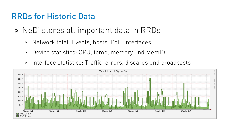#### RRDs for Historic Data

- > NeDi stores all important data in RRDs
	- > Network total: Events, hosts, PoE, interfaces
	- > Device statistics: CPU, temp, memory und MemIO
	- > Interface statistics: Traffic, errors, discards und broadcasts

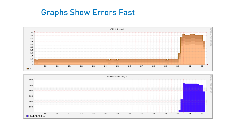#### Graphs Show Errors Fast



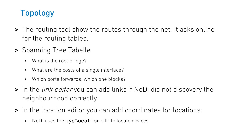# Topology

- > The routing tool show the routes through the net. It asks online for the routing tables.
- > Spanning Tree Tabelle
	- > What is the root bridge?
	- > What are the costs of a single interface?
	- > Which ports forwards, which one blocks?
- > In the *link editor* you can add links if NeDi did not discovery the neighbourhood correctly.
- > In the location editor you can add coordinates for locations:
	- > NeDiuses the sysLocation OID to locate devices.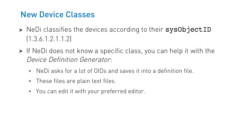### New Device Classes

- > NeDi classifies the devices according to their sysObjectID (1.3.6.1.2.1.1.2)
- > If NeDi does not know a specific class, you can help it with the Device Definition Generator:
	- > NeDi asks for a lot of OIDs and saves it into a definition file.
	- > These files are plain text files.
	- > You can edit it with your preferred editor.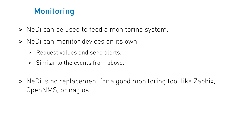# Monitoring

- > NeDi can be used to feed a monitoring system.
- > NeDi can monitor devices on its own.
	- > Request values and send alerts.
	- > Similar to the events from above.
- > NeDi is no replacement for a good monitoring tool like Zabbix, OpenNMS, or nagios.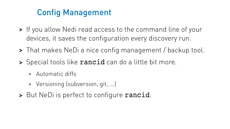# Config Management

- > If you allow Nedi read access to the command line of your devices, it saves the configuration every discovery run.
- > That makes NeDi a nice config management / backup tool.
- > Special tools like **rancid** can do a little bit more.
	- > Automatic diffs
	- > Versioning (subversion, git, ...)
- > But NeDi is perfect to configure rancid.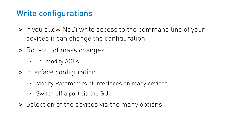# Write configurations

- > If you allow NeDi write access to the command line of your devices it can change the configuration.
- > Roll-out of mass changes.
	- > i.e. modify ACLs.
- > Interface configuration.
	- > Modify Parameters of interfaces on many devices.
	- > Switch off a port via the GUI.
- > Selection of the devices via the many options.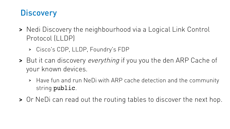## **Discovery**

- > Nedi Discovery the neighbourhood via a Logical Link Control Protocol (LLDP)
	- > Cisco's CDP, LLDP, Foundry's FDP
- > But it can discovery everything if you you the den ARP Cache of your known devices.
	- > Have fun and run NeDi with ARP cache detection and the community string public.
- > Or NeDi can read out the routing tables to discover the next hop.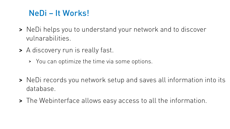## NeDi – It Works!

- > NeDi helps you to understand your network and to discover vulnarabilities.
- > A discovery run is really fast.
	- > You can optimize the time via some options.
- > NeDi records you network setup and saves all information into its database.
- > The Webinterface allows easy access to all the information.